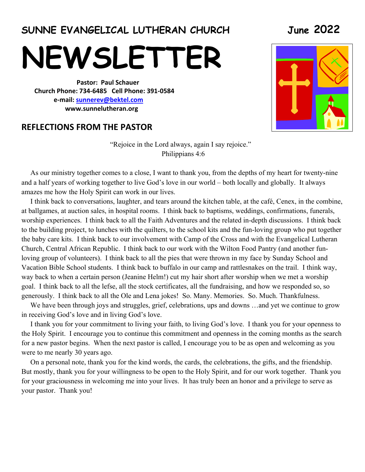### **SUNNE EVANGELICAL LUTHERAN CHURCH June 2022**

**NEWSLETTER** 

 **Pastor: Paul Schauer Church Phone: 734-6485 Cell Phone: 391-0584 e-mail: sunnerev@bektel.com www.sunnelutheran.org** 

#### **REFLECTIONS FROM THE PASTOR**

"Rejoice in the Lord always, again I say rejoice." Philippians 4:6

 As our ministry together comes to a close, I want to thank you, from the depths of my heart for twenty-nine and a half years of working together to live God's love in our world – both locally and globally. It always amazes me how the Holy Spirit can work in our lives.

 I think back to conversations, laughter, and tears around the kitchen table, at the café, Cenex, in the combine, at ballgames, at auction sales, in hospital rooms. I think back to baptisms, weddings, confirmations, funerals, worship experiences. I think back to all the Faith Adventures and the related in-depth discussions. I think back to the building project, to lunches with the quilters, to the school kits and the fun-loving group who put together the baby care kits. I think back to our involvement with Camp of the Cross and with the Evangelical Lutheran Church, Central African Republic. I think back to our work with the Wilton Food Pantry (and another funloving group of volunteers). I think back to all the pies that were thrown in my face by Sunday School and Vacation Bible School students. I think back to buffalo in our camp and rattlesnakes on the trail. I think way, way back to when a certain person (Jeanine Helm!) cut my hair short after worship when we met a worship goal. I think back to all the lefse, all the stock certificates, all the fundraising, and how we responded so, so generously. I think back to all the Ole and Lena jokes! So. Many. Memories. So. Much. Thankfulness.

We have been through joys and struggles, grief, celebrations, ups and downs ...and yet we continue to grow in receiving God's love and in living God's love.

 I thank you for your commitment to living your faith, to living God's love. I thank you for your openness to the Holy Spirit. I encourage you to continue this commitment and openness in the coming months as the search for a new pastor begins. When the next pastor is called, I encourage you to be as open and welcoming as you were to me nearly 30 years ago.

 On a personal note, thank you for the kind words, the cards, the celebrations, the gifts, and the friendship. But mostly, thank you for your willingness to be open to the Holy Spirit, and for our work together. Thank you for your graciousness in welcoming me into your lives. It has truly been an honor and a privilege to serve as your pastor. Thank you!

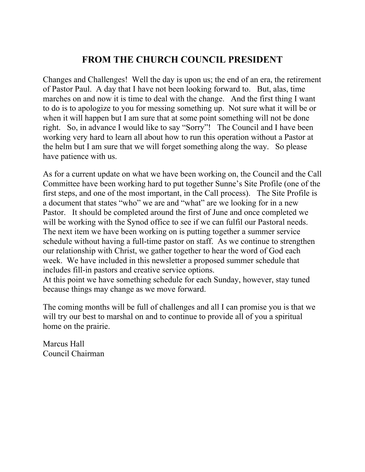### **FROM THE CHURCH COUNCIL PRESIDENT**

Changes and Challenges! Well the day is upon us; the end of an era, the retirement of Pastor Paul. A day that I have not been looking forward to. But, alas, time marches on and now it is time to deal with the change. And the first thing I want to do is to apologize to you for messing something up. Not sure what it will be or when it will happen but I am sure that at some point something will not be done right. So, in advance I would like to say "Sorry"! The Council and I have been working very hard to learn all about how to run this operation without a Pastor at the helm but I am sure that we will forget something along the way. So please have patience with us.

As for a current update on what we have been working on, the Council and the Call Committee have been working hard to put together Sunne's Site Profile (one of the first steps, and one of the most important, in the Call process). The Site Profile is a document that states "who" we are and "what" are we looking for in a new Pastor. It should be completed around the first of June and once completed we will be working with the Synod office to see if we can fulfil our Pastoral needs. The next item we have been working on is putting together a summer service schedule without having a full-time pastor on staff. As we continue to strengthen our relationship with Christ, we gather together to hear the word of God each week. We have included in this newsletter a proposed summer schedule that includes fill-in pastors and creative service options.

At this point we have something schedule for each Sunday, however, stay tuned because things may change as we move forward.

The coming months will be full of challenges and all I can promise you is that we will try our best to marshal on and to continue to provide all of you a spiritual home on the prairie.

Marcus Hall Council Chairman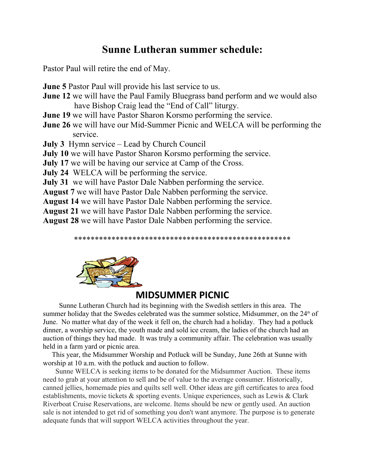### **Sunne Lutheran summer schedule:**

Pastor Paul will retire the end of May.

**June 5** Pastor Paul will provide his last service to us.

- **June 12** we will have the Paul Family Bluegrass band perform and we would also have Bishop Craig lead the "End of Call" liturgy.
- **June 19** we will have Pastor Sharon Korsmo performing the service.
- **June 26** we will have our Mid-Summer Picnic and WELCA will be performing the service.
- **July 3** Hymn service Lead by Church Council
- **July 10** we will have Pastor Sharon Korsmo performing the service.
- **July 17** we will be having our service at Camp of the Cross.
- **July 24** WELCA will be performing the service.
- **July 31** we will have Pastor Dale Nabben performing the service.
- **August 7** we will have Pastor Dale Nabben performing the service.
- **August 14** we will have Pastor Dale Nabben performing the service.
- **August 21** we will have Pastor Dale Nabben performing the service.
- **August 28** we will have Pastor Dale Nabben performing the service.

\*\*\*\*\*\*\*\*\*\*\*\*\*\*\*\*\*\*\*\*\*\*\*\*\*\*\*\*\*\*\*\*\*\*\*\*\*\*\*\*\*\*\*\*\*\*\*\*\*\*\*\*



### **MIDSUMMER PICNIC**

 Sunne Lutheran Church had its beginning with the Swedish settlers in this area. The summer holiday that the Swedes celebrated was the summer solstice, Midsummer, on the  $24<sup>th</sup>$  of June. No matter what day of the week it fell on, the church had a holiday. They had a potluck dinner, a worship service, the youth made and sold ice cream, the ladies of the church had an auction of things they had made. It was truly a community affair. The celebration was usually held in a farm yard or picnic area.

 This year, the Midsummer Worship and Potluck will be Sunday, June 26th at Sunne with worship at 10 a.m. with the potluck and auction to follow.

 Sunne WELCA is seeking items to be donated for the Midsummer Auction. These items need to grab at your attention to sell and be of value to the average consumer. Historically, canned jellies, homemade pies and quilts sell well. Other ideas are gift certificates to area food establishments, movie tickets & sporting events. Unique experiences, such as Lewis & Clark Riverboat Cruise Reservations, are welcome. Items should be new or gently used. An auction sale is not intended to get rid of something you don't want anymore. The purpose is to generate adequate funds that will support WELCA activities throughout the year.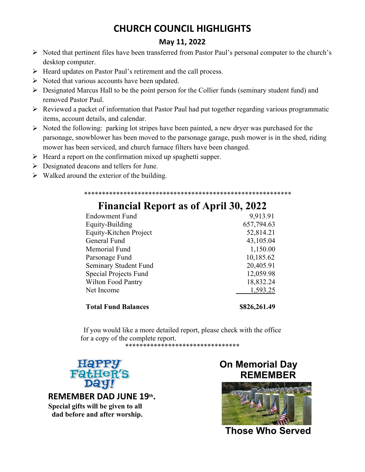### **CHURCH COUNCIL HIGHLIGHTS**

### **May 11, 2022**

- Noted that pertinent files have been transferred from Pastor Paul's personal computer to the church's desktop computer.
- $\triangleright$  Heard updates on Pastor Paul's retirement and the call process.
- $\triangleright$  Noted that various accounts have been updated.
- $\triangleright$  Designated Marcus Hall to be the point person for the Collier funds (seminary student fund) and removed Pastor Paul.
- $\triangleright$  Reviewed a packet of information that Pastor Paul had put together regarding various programmatic items, account details, and calendar.
- $\triangleright$  Noted the following: parking lot stripes have been painted, a new dryer was purchased for the parsonage, snowblower has been moved to the parsonage garage, push mower is in the shed, riding mower has been serviced, and church furnace filters have been changed.
- $\triangleright$  Heard a report on the confirmation mixed up spaghetti supper.
- $\triangleright$  Designated deacons and tellers for June.
- $\triangleright$  Walked around the exterior of the building.

#### \*\*\*\*\*\*\*\*\*\*\*\*\*\*\*\*\*\*\*\*\*\*\*\*\*\*\*\*\*\*\*\*\*\*\*\*\*\*\*\*\*\*\*\*\*\*\*\*\*\*\*\*\*\*\*\*\*\*

| <b>Total Fund Balances</b> | \$826,261.49 |  |
|----------------------------|--------------|--|
| Net Income                 | 1,593.25     |  |
| Wilton Food Pantry         | 18,832.24    |  |
| Special Projects Fund      | 12,059.98    |  |
| Seminary Student Fund      | 20,405.91    |  |
| Parsonage Fund             | 10,185.62    |  |
| Memorial Fund              | 1,150.00     |  |
| General Fund               | 43,105.04    |  |
| Equity-Kitchen Project     | 52,814.21    |  |
| Equity-Building            | 657,794.63   |  |
| <b>Endowment Fund</b>      | 9,913.91     |  |

### **Financial Report as of April 30, 2022**

If you would like a more detailed report, please check with the office for a copy of the complete report.

\*\*\*\*\*\*\*\*\*\*\*\*\*\*\*\*\*\*\*\*\*\*\*\*\*\*\*\*\*\*\*\*



#### **REMEMBER DAD JUNE 19th . Special gifts will be given to all dad before and after worship.**

### **On Memorial Day REMEMBER**



**Those Who Served**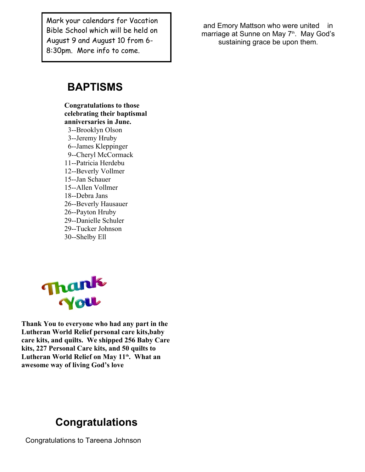**EXECUTE CONSUMER CONSUMER**<br>Bible School which will be held on 8:30pm. More info to come.

and Emory Mattson who were united in marriage at Sunne on May 7<sup>th</sup>. May God's Mark your calendars for Vacation and Emory Mattson who were united in<br>Bible School which will be held on and Emory Mattson who were united in<br>August 9 and August 10 from 6- sustaining grace be upon them.

### **BAPTISMS**

**Congratulations to those celebrating their baptismal anniversaries in June.** 3--Brooklyn Olson 3--Jeremy Hruby 6--James Kleppinger 9--Cheryl McCormack 11--Patricia Herdebu 12--Beverly Vollmer 15--Jan Schauer 15--Allen Vollmer 18--Debra Jans 26--Beverly Hausauer 26--Payton Hruby 29--Danielle Schuler 29--Tucker Johnson 30--Shelby Ell



**Thank You to everyone who had any part in the Lutheran World Relief personal care kits,baby care kits, and quilts. We shipped 256 Baby Care kits, 227 Personal Care kits, and 50 quilts to Lutheran World Relief on May 11th. What an awesome way of living God's love**

### **Congratulations**

Congratulations to Tareena Johnson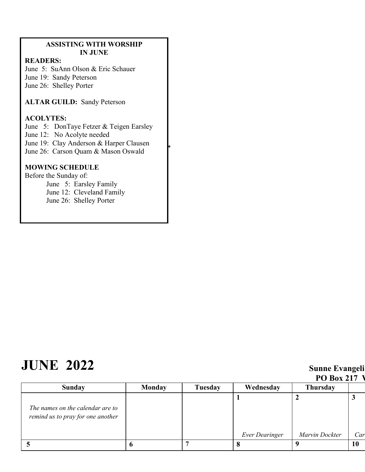#### **ASSISTING WITH WORSHIP IN JUNE**

#### **READERS:**

June 5: SuAnn Olson & Eric Schauer<br>
June 19: Sandy Peterson June 19: Sandy Peterson June 26: Shelley Porter

On May 15th, we welcomed Dominic Deon David **ALTAR GUILD:** Sandy Peterson

#### sacrament of Holy Baptism. Dominic is the son of **ACOLYTES:**

- ACOLITIES.<br>June 5: DonTaye Fetzer & Teigen Earsley
- June 12: No Acolyte needed
- June 19: Clay Anderson & Harper Clausen
- $*$  June 26: Carson Quam  $\&$  Mason Oswald On May 22nd, we welcomed Lane Adam Boone into

#### **MOWING SCHEDULE**

 $Before the Sunday of:$ June 5: Earsley Family

 $\sum_{i=1}^{\infty}$  Lansley Family June 26: Shelley Porter

# **JUNE 2022 Sunne Evangeli**

|                                                                       |               |         |                       | <b>PO Box 217 V</b> |     |
|-----------------------------------------------------------------------|---------------|---------|-----------------------|---------------------|-----|
| Sunday                                                                | <b>Monday</b> | Tuesday | Wednesday             | <b>Thursday</b>     |     |
| The names on the calendar are to<br>remind us to pray for one another |               |         |                       |                     |     |
|                                                                       |               |         | <b>Ever Dearinger</b> | Marvin Dockter      | Car |
|                                                                       |               |         | $\mathbf{U}$          |                     | 10  |